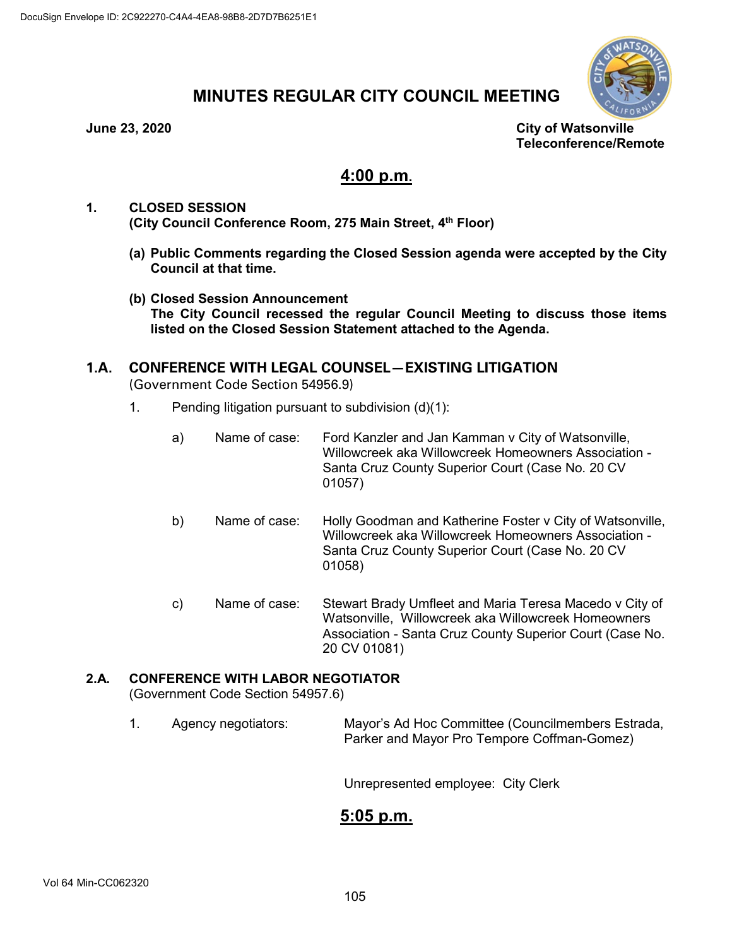

# **MINUTES REGULAR CITY COUNCIL MEETING**

**June 23, 2020 City of Watsonville Teleconference/Remote**

# **4:00 p.m.**

- **1. CLOSED SESSION (City Council Conference Room, 275 Main Street, 4th Floor)**
	- **(a) Public Comments regarding the Closed Session agenda were accepted by the City Council at that time.**
	- **(b) Closed Session Announcement The City Council recessed the regular Council Meeting to discuss those items listed on the Closed Session Statement attached to the Agenda.**

# **1.A. CONFERENCE WITH LEGAL COUNSEL—EXISTING LITIGATION**

(Government Code Section 54956.9)

1. Pending litigation pursuant to subdivision (d)(1):

| a) - | Name of case: | Ford Kanzler and Jan Kamman v City of Watsonville,<br>Willowcreek aka Willowcreek Homeowners Association - |
|------|---------------|------------------------------------------------------------------------------------------------------------|
|      |               | Santa Cruz County Superior Court (Case No. 20 CV)<br>01057)                                                |

- b) Name of case: Holly Goodman and Katherine Foster v City of Watsonville, Willowcreek aka Willowcreek Homeowners Association - Santa Cruz County Superior Court (Case No. 20 CV 01058)
- c) Name of case: Stewart Brady Umfleet and Maria Teresa Macedo v City of Watsonville, Willowcreek aka Willowcreek Homeowners Association - Santa Cruz County Superior Court (Case No. 20 CV 01081)

## **2.A. CONFERENCE WITH LABOR NEGOTIATOR**

(Government Code Section 54957.6)

1. Agency negotiators: Mayor's Ad Hoc Committee (Councilmembers Estrada, Parker and Mayor Pro Tempore Coffman-Gomez)

Unrepresented employee: City Clerk

# **5:05 p.m.**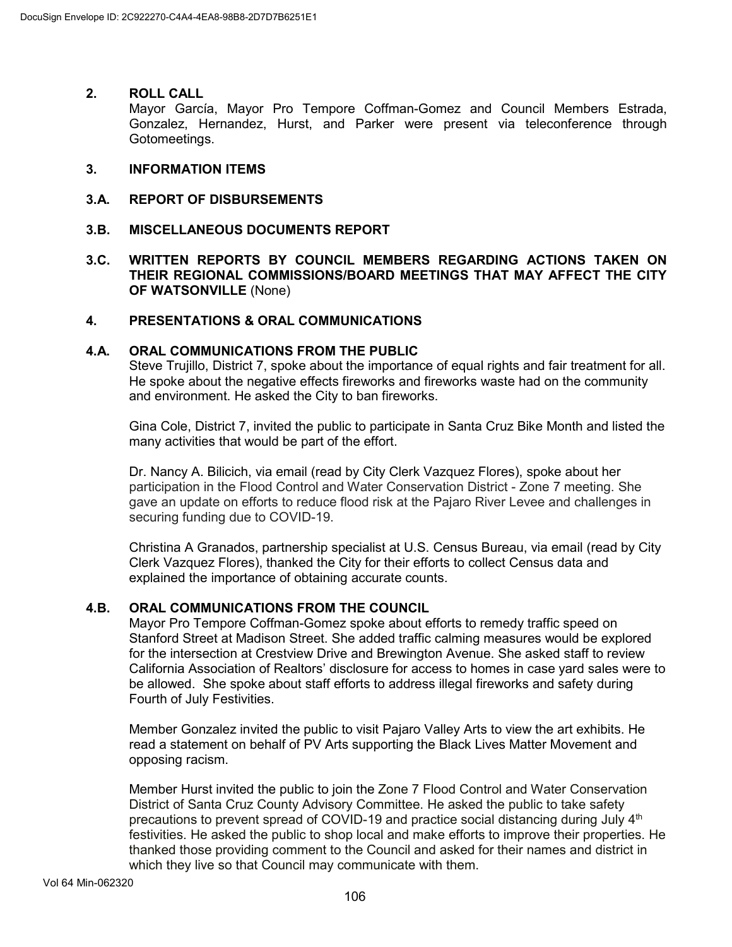## **2. ROLL CALL**

Mayor García, Mayor Pro Tempore Coffman-Gomez and Council Members Estrada, Gonzalez, Hernandez, Hurst, and Parker were present via teleconference through Gotomeetings.

## **3. INFORMATION ITEMS**

## **3.A. REPORT OF DISBURSEMENTS**

## **3.B. MISCELLANEOUS DOCUMENTS REPORT**

**3.C. WRITTEN REPORTS BY COUNCIL MEMBERS REGARDING ACTIONS TAKEN ON THEIR REGIONAL COMMISSIONS/BOARD MEETINGS THAT MAY AFFECT THE CITY OF WATSONVILLE** (None)

## **4. PRESENTATIONS & ORAL COMMUNICATIONS**

## **4.A. ORAL COMMUNICATIONS FROM THE PUBLIC**

Steve Trujillo, District 7, spoke about the importance of equal rights and fair treatment for all. He spoke about the negative effects fireworks and fireworks waste had on the community and environment. He asked the City to ban fireworks.

Gina Cole, District 7, invited the public to participate in Santa Cruz Bike Month and listed the many activities that would be part of the effort.

Dr. Nancy A. Bilicich, via email (read by City Clerk Vazquez Flores), spoke about her participation in the Flood Control and Water Conservation District - Zone 7 meeting. She gave an update on efforts to reduce flood risk at the Pajaro River Levee and challenges in securing funding due to COVID-19.

Christina A Granados, partnership specialist at U.S. Census Bureau, via email (read by City Clerk Vazquez Flores), thanked the City for their efforts to collect Census data and explained the importance of obtaining accurate counts.

# **4.B. ORAL COMMUNICATIONS FROM THE COUNCIL**

Mayor Pro Tempore Coffman-Gomez spoke about efforts to remedy traffic speed on Stanford Street at Madison Street. She added traffic calming measures would be explored for the intersection at Crestview Drive and Brewington Avenue. She asked staff to review California Association of Realtors' disclosure for access to homes in case yard sales were to be allowed. She spoke about staff efforts to address illegal fireworks and safety during Fourth of July Festivities.

Member Gonzalez invited the public to visit Pajaro Valley Arts to view the art exhibits. He read a statement on behalf of PV Arts supporting the Black Lives Matter Movement and opposing racism.

Member Hurst invited the public to join the Zone 7 Flood Control and Water Conservation District of Santa Cruz County Advisory Committee. He asked the public to take safety precautions to prevent spread of COVID-19 and practice social distancing during July  $4<sup>th</sup>$ festivities. He asked the public to shop local and make efforts to improve their properties. He thanked those providing comment to the Council and asked for their names and district in which they live so that Council may communicate with them.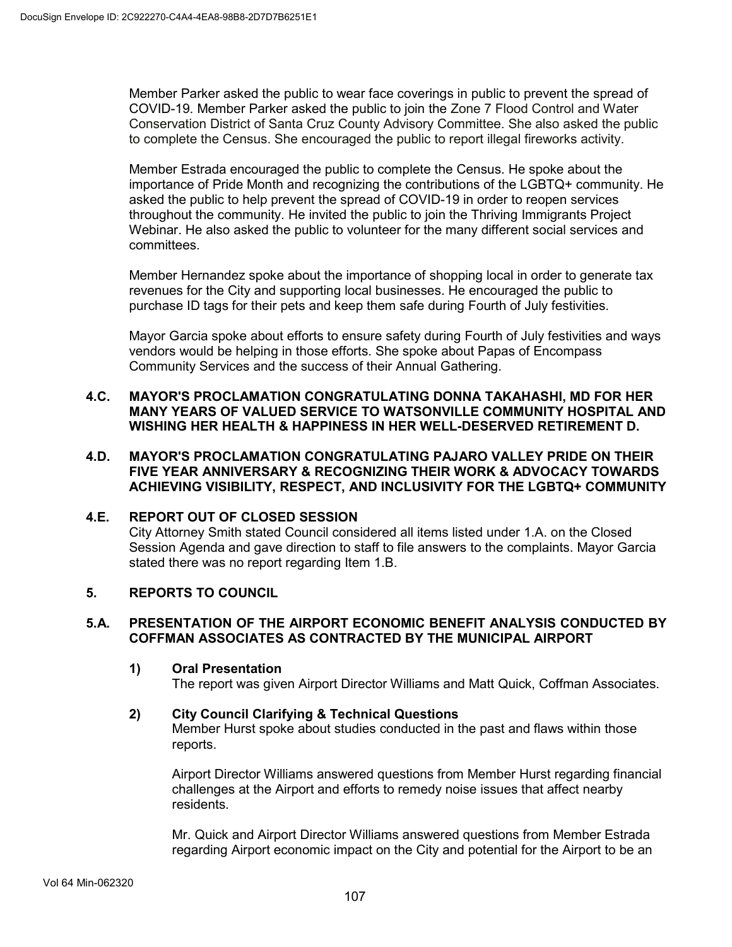Member Parker asked the public to wear face coverings in public to prevent the spread of COVID-19. Member Parker asked the public to join the Zone 7 Flood Control and Water Conservation District of Santa Cruz County Advisory Committee. She also asked the public to complete the Census. She encouraged the public to report illegal fireworks activity.

Member Estrada encouraged the public to complete the Census. He spoke about the importance of Pride Month and recognizing the contributions of the LGBTQ+ community. He asked the public to help prevent the spread of COVID-19 in order to reopen services throughout the community. He invited the public to join the Thriving Immigrants Project Webinar. He also asked the public to volunteer for the many different social services and committees.

Member Hernandez spoke about the importance of shopping local in order to generate tax revenues for the City and supporting local businesses. He encouraged the public to purchase ID tags for their pets and keep them safe during Fourth of July festivities.

Mayor Garcia spoke about efforts to ensure safety during Fourth of July festivities and ways vendors would be helping in those efforts. She spoke about Papas of Encompass Community Services and the success of their Annual Gathering.

## **4.C. MAYOR'S PROCLAMATION CONGRATULATING DONNA TAKAHASHI, MD FOR HER MANY YEARS OF VALUED SERVICE TO WATSONVILLE COMMUNITY HOSPITAL AND WISHING HER HEALTH & HAPPINESS IN HER WELL-DESERVED RETIREMENT D.**

#### **4.D. MAYOR'S PROCLAMATION CONGRATULATING PAJARO VALLEY PRIDE ON THEIR FIVE YEAR ANNIVERSARY & RECOGNIZING THEIR WORK & ADVOCACY TOWARDS ACHIEVING VISIBILITY, RESPECT, AND INCLUSIVITY FOR THE LGBTQ+ COMMUNITY**

# **4.E. REPORT OUT OF CLOSED SESSION**

City Attorney Smith stated Council considered all items listed under 1.A. on the Closed Session Agenda and gave direction to staff to file answers to the complaints. Mayor Garcia stated there was no report regarding Item 1.B.

# **5. REPORTS TO COUNCIL**

## **5.A. PRESENTATION OF THE AIRPORT ECONOMIC BENEFIT ANALYSIS CONDUCTED BY COFFMAN ASSOCIATES AS CONTRACTED BY THE MUNICIPAL AIRPORT**

**1) Oral Presentation** The report was given Airport Director Williams and Matt Quick, Coffman Associates.

#### **2) City Council Clarifying & Technical Questions**

Member Hurst spoke about studies conducted in the past and flaws within those reports.

Airport Director Williams answered questions from Member Hurst regarding financial challenges at the Airport and efforts to remedy noise issues that affect nearby residents.

Mr. Quick and Airport Director Williams answered questions from Member Estrada regarding Airport economic impact on the City and potential for the Airport to be an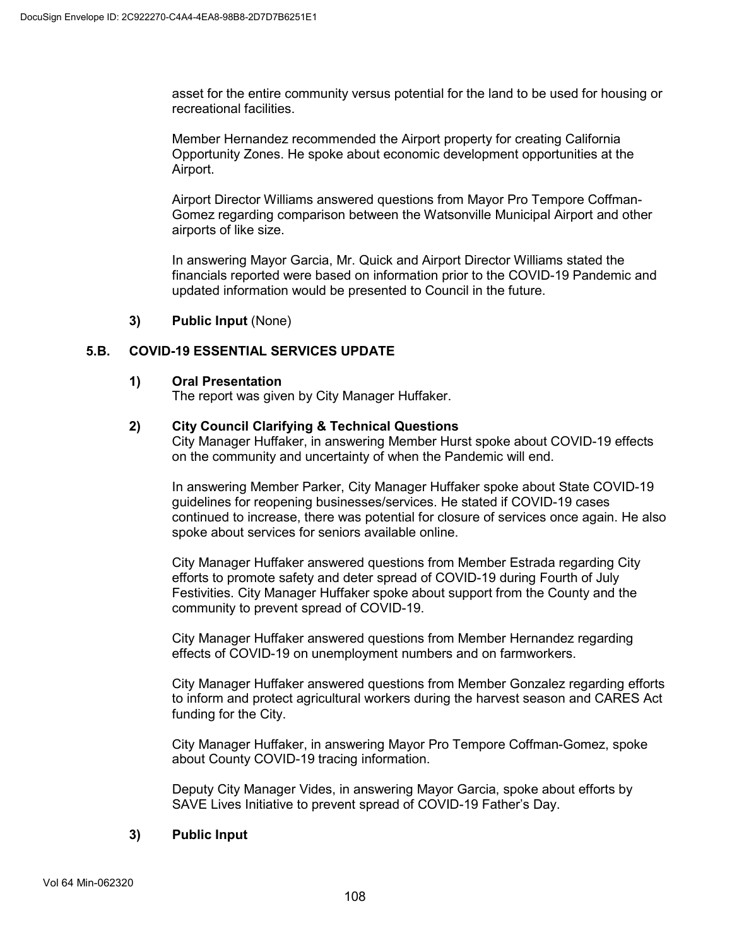asset for the entire community versus potential for the land to be used for housing or recreational facilities.

Member Hernandez recommended the Airport property for creating California Opportunity Zones. He spoke about economic development opportunities at the Airport.

Airport Director Williams answered questions from Mayor Pro Tempore Coffman-Gomez regarding comparison between the Watsonville Municipal Airport and other airports of like size.

In answering Mayor Garcia, Mr. Quick and Airport Director Williams stated the financials reported were based on information prior to the COVID-19 Pandemic and updated information would be presented to Council in the future.

**3) Public Input** (None)

# **5.B. COVID-19 ESSENTIAL SERVICES UPDATE**

#### **1) Oral Presentation**

The report was given by City Manager Huffaker.

## **2) City Council Clarifying & Technical Questions**

City Manager Huffaker, in answering Member Hurst spoke about COVID-19 effects on the community and uncertainty of when the Pandemic will end.

In answering Member Parker, City Manager Huffaker spoke about State COVID-19 guidelines for reopening businesses/services. He stated if COVID-19 cases continued to increase, there was potential for closure of services once again. He also spoke about services for seniors available online.

City Manager Huffaker answered questions from Member Estrada regarding City efforts to promote safety and deter spread of COVID-19 during Fourth of July Festivities. City Manager Huffaker spoke about support from the County and the community to prevent spread of COVID-19.

City Manager Huffaker answered questions from Member Hernandez regarding effects of COVID-19 on unemployment numbers and on farmworkers.

City Manager Huffaker answered questions from Member Gonzalez regarding efforts to inform and protect agricultural workers during the harvest season and CARES Act funding for the City.

City Manager Huffaker, in answering Mayor Pro Tempore Coffman-Gomez, spoke about County COVID-19 tracing information.

Deputy City Manager Vides, in answering Mayor Garcia, spoke about efforts by SAVE Lives Initiative to prevent spread of COVID-19 Father's Day.

# **3) Public Input**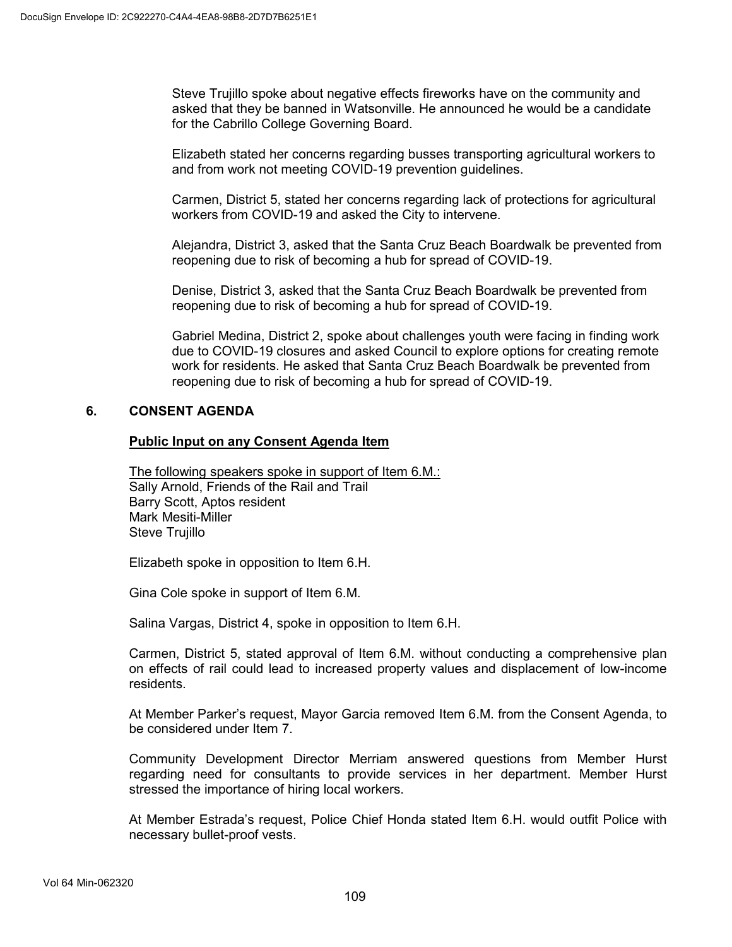Steve Trujillo spoke about negative effects fireworks have on the community and asked that they be banned in Watsonville. He announced he would be a candidate for the Cabrillo College Governing Board.

Elizabeth stated her concerns regarding busses transporting agricultural workers to and from work not meeting COVID-19 prevention guidelines.

Carmen, District 5, stated her concerns regarding lack of protections for agricultural workers from COVID-19 and asked the City to intervene.

Alejandra, District 3, asked that the Santa Cruz Beach Boardwalk be prevented from reopening due to risk of becoming a hub for spread of COVID-19.

Denise, District 3, asked that the Santa Cruz Beach Boardwalk be prevented from reopening due to risk of becoming a hub for spread of COVID-19.

Gabriel Medina, District 2, spoke about challenges youth were facing in finding work due to COVID-19 closures and asked Council to explore options for creating remote work for residents. He asked that Santa Cruz Beach Boardwalk be prevented from reopening due to risk of becoming a hub for spread of COVID-19.

# **6. CONSENT AGENDA**

#### **Public Input on any Consent Agenda Item**

The following speakers spoke in support of Item 6.M.: Sally Arnold, Friends of the Rail and Trail Barry Scott, Aptos resident Mark Mesiti-Miller Steve Trujillo

Elizabeth spoke in opposition to Item 6.H.

Gina Cole spoke in support of Item 6.M.

Salina Vargas, District 4, spoke in opposition to Item 6.H.

Carmen, District 5, stated approval of Item 6.M. without conducting a comprehensive plan on effects of rail could lead to increased property values and displacement of low-income residents.

At Member Parker's request, Mayor Garcia removed Item 6.M. from the Consent Agenda, to be considered under Item 7.

Community Development Director Merriam answered questions from Member Hurst regarding need for consultants to provide services in her department. Member Hurst stressed the importance of hiring local workers.

At Member Estrada's request, Police Chief Honda stated Item 6.H. would outfit Police with necessary bullet-proof vests.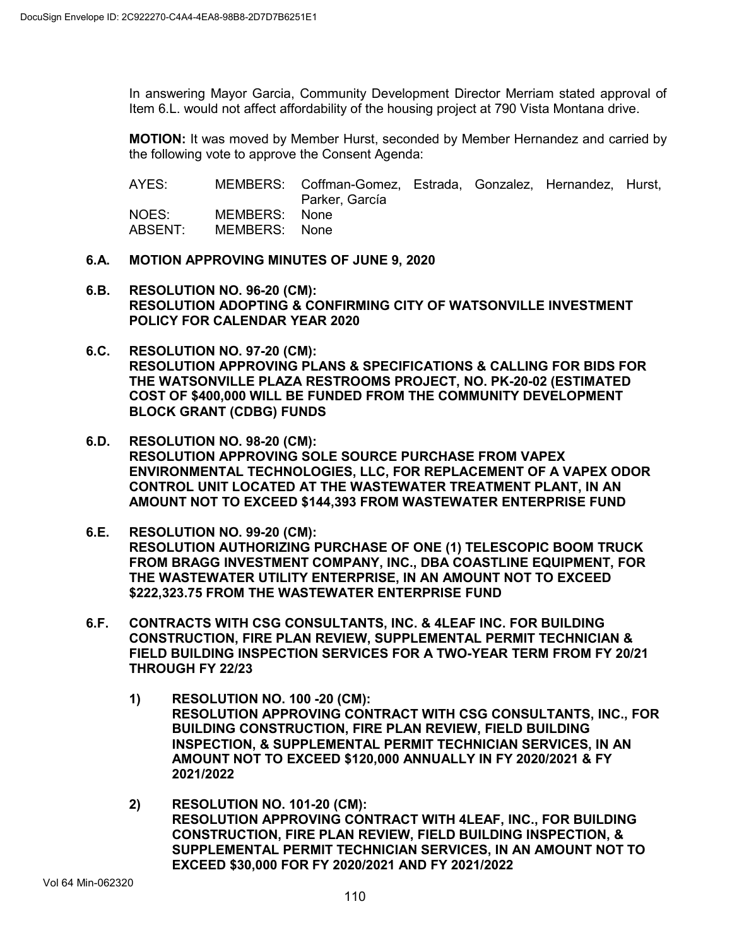In answering Mayor Garcia, Community Development Director Merriam stated approval of Item 6.L. would not affect affordability of the housing project at 790 Vista Montana drive.

**MOTION:** It was moved by Member Hurst, seconded by Member Hernandez and carried by the following vote to approve the Consent Agenda:

AYES: MEMBERS: Coffman-Gomez, Estrada, Gonzalez, Hernandez, Hurst, Parker, García NOES: MEMBERS: None ABSENT: MEMBERS: None

- **6.A. MOTION APPROVING MINUTES OF JUNE 9, 2020**
- **6.B. RESOLUTION NO. 96-20 (CM): RESOLUTION ADOPTING & CONFIRMING CITY OF WATSONVILLE INVESTMENT POLICY FOR CALENDAR YEAR 2020**
- **6.C. RESOLUTION NO. 97-20 (CM): RESOLUTION APPROVING PLANS & SPECIFICATIONS & CALLING FOR BIDS FOR THE WATSONVILLE PLAZA RESTROOMS PROJECT, NO. PK-20-02 (ESTIMATED COST OF \$400,000 WILL BE FUNDED FROM THE COMMUNITY DEVELOPMENT BLOCK GRANT (CDBG) FUNDS**
- **6.D. RESOLUTION NO. 98-20 (CM): RESOLUTION APPROVING SOLE SOURCE PURCHASE FROM VAPEX ENVIRONMENTAL TECHNOLOGIES, LLC, FOR REPLACEMENT OF A VAPEX ODOR CONTROL UNIT LOCATED AT THE WASTEWATER TREATMENT PLANT, IN AN AMOUNT NOT TO EXCEED \$144,393 FROM WASTEWATER ENTERPRISE FUND**
- **6.E. RESOLUTION NO. 99-20 (CM): RESOLUTION AUTHORIZING PURCHASE OF ONE (1) TELESCOPIC BOOM TRUCK FROM BRAGG INVESTMENT COMPANY, INC., DBA COASTLINE EQUIPMENT, FOR THE WASTEWATER UTILITY ENTERPRISE, IN AN AMOUNT NOT TO EXCEED \$222,323.75 FROM THE WASTEWATER ENTERPRISE FUND**
- **6.F. CONTRACTS WITH CSG CONSULTANTS, INC. & 4LEAF INC. FOR BUILDING CONSTRUCTION, FIRE PLAN REVIEW, SUPPLEMENTAL PERMIT TECHNICIAN & FIELD BUILDING INSPECTION SERVICES FOR A TWO-YEAR TERM FROM FY 20/21 THROUGH FY 22/23**
	- **1) RESOLUTION NO. 100 -20 (CM): RESOLUTION APPROVING CONTRACT WITH CSG CONSULTANTS, INC., FOR BUILDING CONSTRUCTION, FIRE PLAN REVIEW, FIELD BUILDING INSPECTION, & SUPPLEMENTAL PERMIT TECHNICIAN SERVICES, IN AN AMOUNT NOT TO EXCEED \$120,000 ANNUALLY IN FY 2020/2021 & FY 2021/2022**
	- **2) RESOLUTION NO. 101-20 (CM): RESOLUTION APPROVING CONTRACT WITH 4LEAF, INC., FOR BUILDING CONSTRUCTION, FIRE PLAN REVIEW, FIELD BUILDING INSPECTION, & SUPPLEMENTAL PERMIT TECHNICIAN SERVICES, IN AN AMOUNT NOT TO EXCEED \$30,000 FOR FY 2020/2021 AND FY 2021/2022**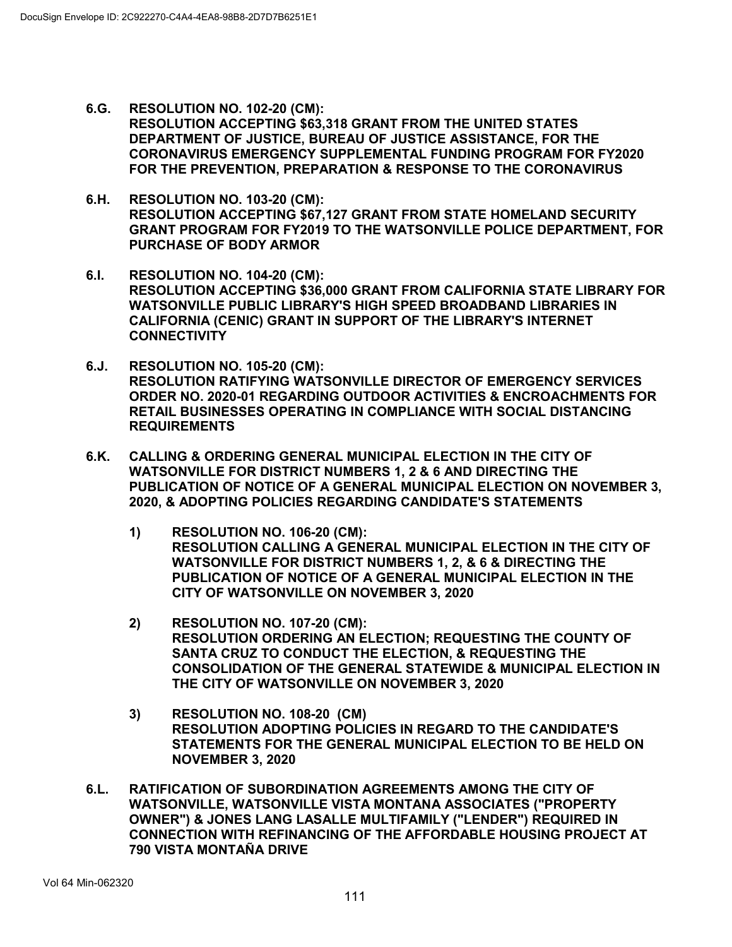- **6.G. RESOLUTION NO. 102-20 (CM): RESOLUTION ACCEPTING \$63,318 GRANT FROM THE UNITED STATES DEPARTMENT OF JUSTICE, BUREAU OF JUSTICE ASSISTANCE, FOR THE CORONAVIRUS EMERGENCY SUPPLEMENTAL FUNDING PROGRAM FOR FY2020 FOR THE PREVENTION, PREPARATION & RESPONSE TO THE CORONAVIRUS**
- **6.H. RESOLUTION NO. 103-20 (CM): RESOLUTION ACCEPTING \$67,127 GRANT FROM STATE HOMELAND SECURITY GRANT PROGRAM FOR FY2019 TO THE WATSONVILLE POLICE DEPARTMENT, FOR PURCHASE OF BODY ARMOR**
- **6.I. RESOLUTION NO. 104-20 (CM): RESOLUTION ACCEPTING \$36,000 GRANT FROM CALIFORNIA STATE LIBRARY FOR WATSONVILLE PUBLIC LIBRARY'S HIGH SPEED BROADBAND LIBRARIES IN CALIFORNIA (CENIC) GRANT IN SUPPORT OF THE LIBRARY'S INTERNET CONNECTIVITY**
- **6.J. RESOLUTION NO. 105-20 (CM): RESOLUTION RATIFYING WATSONVILLE DIRECTOR OF EMERGENCY SERVICES ORDER NO. 2020-01 REGARDING OUTDOOR ACTIVITIES & ENCROACHMENTS FOR RETAIL BUSINESSES OPERATING IN COMPLIANCE WITH SOCIAL DISTANCING REQUIREMENTS**
- **6.K. CALLING & ORDERING GENERAL MUNICIPAL ELECTION IN THE CITY OF WATSONVILLE FOR DISTRICT NUMBERS 1, 2 & 6 AND DIRECTING THE PUBLICATION OF NOTICE OF A GENERAL MUNICIPAL ELECTION ON NOVEMBER 3, 2020, & ADOPTING POLICIES REGARDING CANDIDATE'S STATEMENTS**
	- **1) RESOLUTION NO. 106-20 (CM): RESOLUTION CALLING A GENERAL MUNICIPAL ELECTION IN THE CITY OF WATSONVILLE FOR DISTRICT NUMBERS 1, 2, & 6 & DIRECTING THE PUBLICATION OF NOTICE OF A GENERAL MUNICIPAL ELECTION IN THE CITY OF WATSONVILLE ON NOVEMBER 3, 2020**
	- **2) RESOLUTION NO. 107-20 (CM): RESOLUTION ORDERING AN ELECTION; REQUESTING THE COUNTY OF SANTA CRUZ TO CONDUCT THE ELECTION, & REQUESTING THE CONSOLIDATION OF THE GENERAL STATEWIDE & MUNICIPAL ELECTION IN THE CITY OF WATSONVILLE ON NOVEMBER 3, 2020**
	- **3) RESOLUTION NO. 108-20 (CM) RESOLUTION ADOPTING POLICIES IN REGARD TO THE CANDIDATE'S STATEMENTS FOR THE GENERAL MUNICIPAL ELECTION TO BE HELD ON NOVEMBER 3, 2020**
- **6.L. RATIFICATION OF SUBORDINATION AGREEMENTS AMONG THE CITY OF WATSONVILLE, WATSONVILLE VISTA MONTANA ASSOCIATES ("PROPERTY OWNER") & JONES LANG LASALLE MULTIFAMILY ("LENDER") REQUIRED IN CONNECTION WITH REFINANCING OF THE AFFORDABLE HOUSING PROJECT AT 790 VISTA MONTAÑA DRIVE**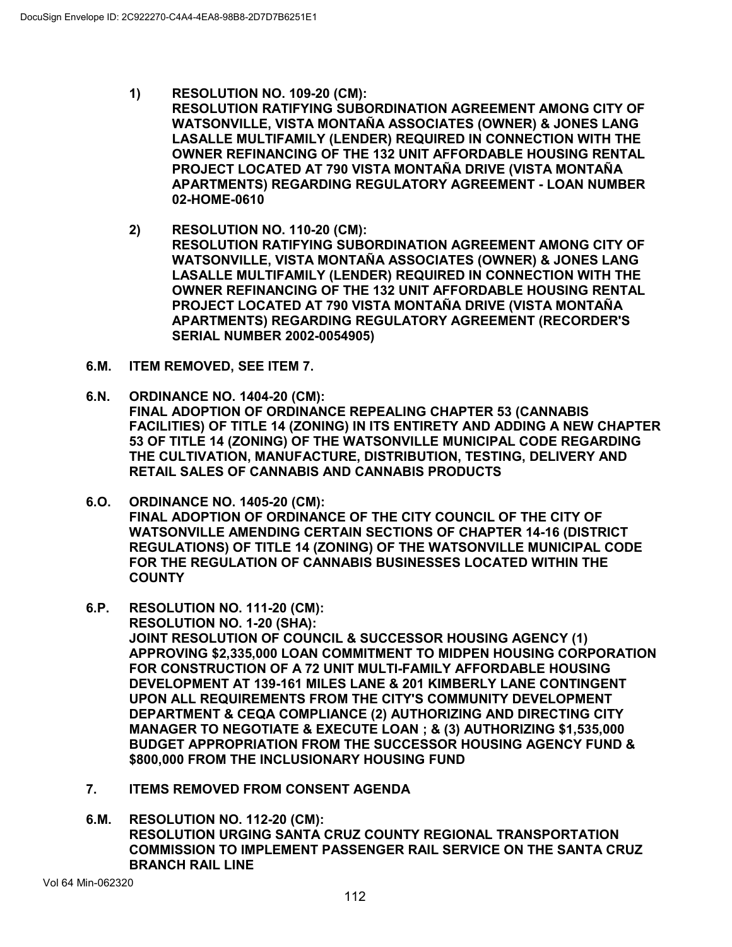- **1) RESOLUTION NO. 109-20 (CM): RESOLUTION RATIFYING SUBORDINATION AGREEMENT AMONG CITY OF WATSONVILLE, VISTA MONTAÑA ASSOCIATES (OWNER) & JONES LANG LASALLE MULTIFAMILY (LENDER) REQUIRED IN CONNECTION WITH THE OWNER REFINANCING OF THE 132 UNIT AFFORDABLE HOUSING RENTAL PROJECT LOCATED AT 790 VISTA MONTAÑA DRIVE (VISTA MONTAÑA APARTMENTS) REGARDING REGULATORY AGREEMENT - LOAN NUMBER 02-HOME-0610**
- **2) RESOLUTION NO. 110-20 (CM): RESOLUTION RATIFYING SUBORDINATION AGREEMENT AMONG CITY OF WATSONVILLE, VISTA MONTAÑA ASSOCIATES (OWNER) & JONES LANG LASALLE MULTIFAMILY (LENDER) REQUIRED IN CONNECTION WITH THE OWNER REFINANCING OF THE 132 UNIT AFFORDABLE HOUSING RENTAL PROJECT LOCATED AT 790 VISTA MONTAÑA DRIVE (VISTA MONTAÑA APARTMENTS) REGARDING REGULATORY AGREEMENT (RECORDER'S SERIAL NUMBER 2002-0054905)**
- **6.M. ITEM REMOVED, SEE ITEM 7.**
- **6.N. ORDINANCE NO. 1404-20 (CM): FINAL ADOPTION OF ORDINANCE REPEALING CHAPTER 53 (CANNABIS FACILITIES) OF TITLE 14 (ZONING) IN ITS ENTIRETY AND ADDING A NEW CHAPTER 53 OF TITLE 14 (ZONING) OF THE WATSONVILLE MUNICIPAL CODE REGARDING THE CULTIVATION, MANUFACTURE, DISTRIBUTION, TESTING, DELIVERY AND RETAIL SALES OF CANNABIS AND CANNABIS PRODUCTS**
- **6.O. ORDINANCE NO. 1405-20 (CM): FINAL ADOPTION OF ORDINANCE OF THE CITY COUNCIL OF THE CITY OF WATSONVILLE AMENDING CERTAIN SECTIONS OF CHAPTER 14-16 (DISTRICT REGULATIONS) OF TITLE 14 (ZONING) OF THE WATSONVILLE MUNICIPAL CODE FOR THE REGULATION OF CANNABIS BUSINESSES LOCATED WITHIN THE COUNTY**
- **6.P. RESOLUTION NO. 111-20 (CM): RESOLUTION NO. 1-20 (SHA): JOINT RESOLUTION OF COUNCIL & SUCCESSOR HOUSING AGENCY (1) APPROVING \$2,335,000 LOAN COMMITMENT TO MIDPEN HOUSING CORPORATION FOR CONSTRUCTION OF A 72 UNIT MULTI-FAMILY AFFORDABLE HOUSING DEVELOPMENT AT 139-161 MILES LANE & 201 KIMBERLY LANE CONTINGENT UPON ALL REQUIREMENTS FROM THE CITY'S COMMUNITY DEVELOPMENT DEPARTMENT & CEQA COMPLIANCE (2) AUTHORIZING AND DIRECTING CITY MANAGER TO NEGOTIATE & EXECUTE LOAN ; & (3) AUTHORIZING \$1,535,000 BUDGET APPROPRIATION FROM THE SUCCESSOR HOUSING AGENCY FUND & \$800,000 FROM THE INCLUSIONARY HOUSING FUND**
- **7. ITEMS REMOVED FROM CONSENT AGENDA**
- **6.M. RESOLUTION NO. 112-20 (CM): RESOLUTION URGING SANTA CRUZ COUNTY REGIONAL TRANSPORTATION COMMISSION TO IMPLEMENT PASSENGER RAIL SERVICE ON THE SANTA CRUZ BRANCH RAIL LINE**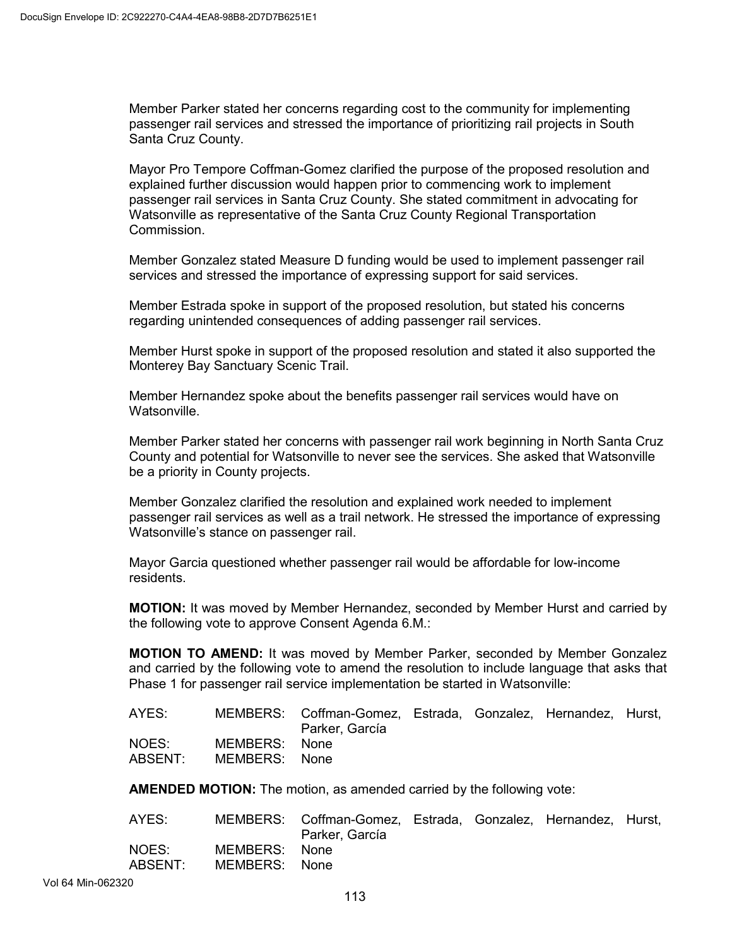Member Parker stated her concerns regarding cost to the community for implementing passenger rail services and stressed the importance of prioritizing rail projects in South Santa Cruz County.

Mayor Pro Tempore Coffman-Gomez clarified the purpose of the proposed resolution and explained further discussion would happen prior to commencing work to implement passenger rail services in Santa Cruz County. She stated commitment in advocating for Watsonville as representative of the Santa Cruz County Regional Transportation Commission.

Member Gonzalez stated Measure D funding would be used to implement passenger rail services and stressed the importance of expressing support for said services.

Member Estrada spoke in support of the proposed resolution, but stated his concerns regarding unintended consequences of adding passenger rail services.

Member Hurst spoke in support of the proposed resolution and stated it also supported the Monterey Bay Sanctuary Scenic Trail.

Member Hernandez spoke about the benefits passenger rail services would have on Watsonville.

Member Parker stated her concerns with passenger rail work beginning in North Santa Cruz County and potential for Watsonville to never see the services. She asked that Watsonville be a priority in County projects.

Member Gonzalez clarified the resolution and explained work needed to implement passenger rail services as well as a trail network. He stressed the importance of expressing Watsonville's stance on passenger rail.

Mayor Garcia questioned whether passenger rail would be affordable for low-income residents.

**MOTION:** It was moved by Member Hernandez, seconded by Member Hurst and carried by the following vote to approve Consent Agenda 6.M.:

**MOTION TO AMEND:** It was moved by Member Parker, seconded by Member Gonzalez and carried by the following vote to amend the resolution to include language that asks that Phase 1 for passenger rail service implementation be started in Watsonville:

| AYES:            |                                | MEMBERS: Coffman-Gomez, Estrada, Gonzalez, Hernandez, Hurst,<br>Parker, García |  |  |
|------------------|--------------------------------|--------------------------------------------------------------------------------|--|--|
| NOES:<br>ABSENT: | MEMBERS: None<br>MEMBERS: None |                                                                                |  |  |

**AMENDED MOTION:** The motion, as amended carried by the following vote:

| AYES:            |                                | MEMBERS: Coffman-Gomez, Estrada, Gonzalez, Hernandez, Hurst,<br>Parker, García |  |  |
|------------------|--------------------------------|--------------------------------------------------------------------------------|--|--|
| NOES:<br>ABSENT: | MEMBERS: None<br>MEMBERS: None |                                                                                |  |  |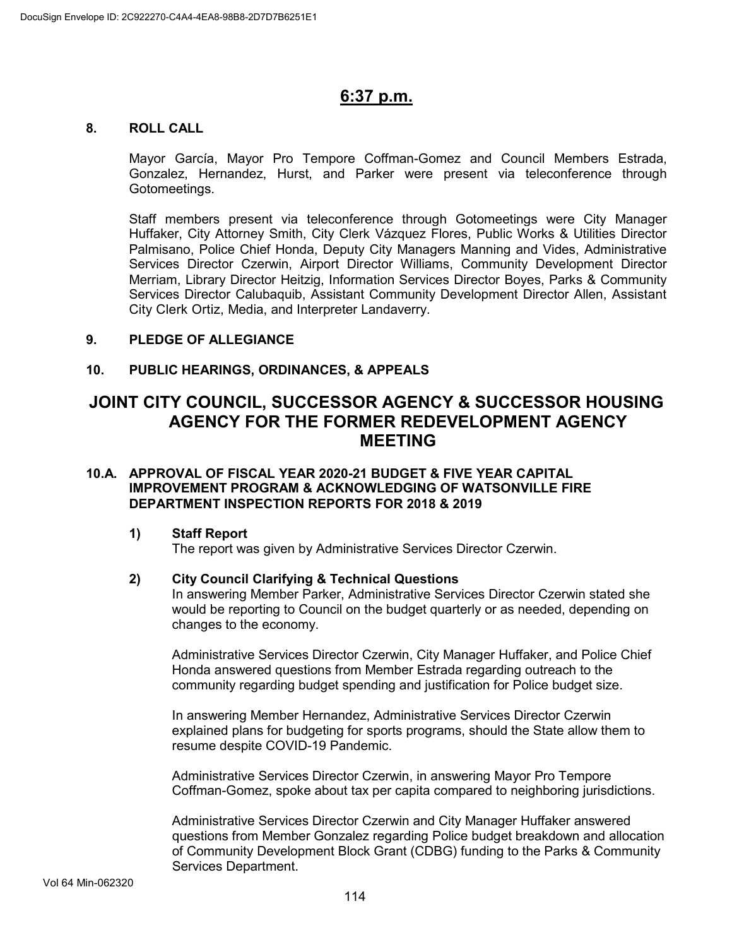# **6:37 p.m.**

## **8. ROLL CALL**

Mayor García, Mayor Pro Tempore Coffman-Gomez and Council Members Estrada, Gonzalez, Hernandez, Hurst, and Parker were present via teleconference through Gotomeetings.

Staff members present via teleconference through Gotomeetings were City Manager Huffaker, City Attorney Smith, City Clerk Vázquez Flores, Public Works & Utilities Director Palmisano, Police Chief Honda, Deputy City Managers Manning and Vides, Administrative Services Director Czerwin, Airport Director Williams, Community Development Director Merriam, Library Director Heitzig, Information Services Director Boyes, Parks & Community Services Director Calubaquib, Assistant Community Development Director Allen, Assistant City Clerk Ortiz, Media, and Interpreter Landaverry.

## **9. PLEDGE OF ALLEGIANCE**

# **10. PUBLIC HEARINGS, ORDINANCES, & APPEALS**

# **JOINT CITY COUNCIL, SUCCESSOR AGENCY & SUCCESSOR HOUSING AGENCY FOR THE FORMER REDEVELOPMENT AGENCY MEETING**

## **10.A. APPROVAL OF FISCAL YEAR 2020-21 BUDGET & FIVE YEAR CAPITAL IMPROVEMENT PROGRAM & ACKNOWLEDGING OF WATSONVILLE FIRE DEPARTMENT INSPECTION REPORTS FOR 2018 & 2019**

#### **1) Staff Report**

The report was given by Administrative Services Director Czerwin.

# **2) City Council Clarifying & Technical Questions**

In answering Member Parker, Administrative Services Director Czerwin stated she would be reporting to Council on the budget quarterly or as needed, depending on changes to the economy.

Administrative Services Director Czerwin, City Manager Huffaker, and Police Chief Honda answered questions from Member Estrada regarding outreach to the community regarding budget spending and justification for Police budget size.

In answering Member Hernandez, Administrative Services Director Czerwin explained plans for budgeting for sports programs, should the State allow them to resume despite COVID-19 Pandemic.

Administrative Services Director Czerwin, in answering Mayor Pro Tempore Coffman-Gomez, spoke about tax per capita compared to neighboring jurisdictions.

Administrative Services Director Czerwin and City Manager Huffaker answered questions from Member Gonzalez regarding Police budget breakdown and allocation of Community Development Block Grant (CDBG) funding to the Parks & Community Services Department.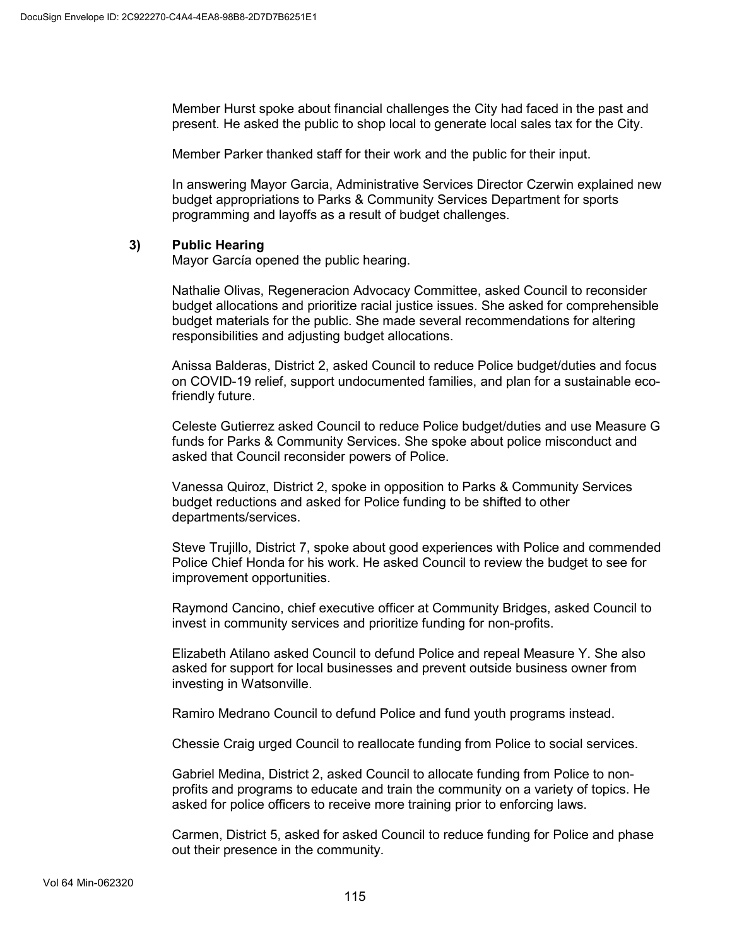Member Hurst spoke about financial challenges the City had faced in the past and present. He asked the public to shop local to generate local sales tax for the City.

Member Parker thanked staff for their work and the public for their input.

In answering Mayor Garcia, Administrative Services Director Czerwin explained new budget appropriations to Parks & Community Services Department for sports programming and layoffs as a result of budget challenges.

#### **3) Public Hearing**

Mayor García opened the public hearing.

Nathalie Olivas, Regeneracion Advocacy Committee, asked Council to reconsider budget allocations and prioritize racial justice issues. She asked for comprehensible budget materials for the public. She made several recommendations for altering responsibilities and adjusting budget allocations.

Anissa Balderas, District 2, asked Council to reduce Police budget/duties and focus on COVID-19 relief, support undocumented families, and plan for a sustainable ecofriendly future.

Celeste Gutierrez asked Council to reduce Police budget/duties and use Measure G funds for Parks & Community Services. She spoke about police misconduct and asked that Council reconsider powers of Police.

Vanessa Quiroz, District 2, spoke in opposition to Parks & Community Services budget reductions and asked for Police funding to be shifted to other departments/services.

Steve Trujillo, District 7, spoke about good experiences with Police and commended Police Chief Honda for his work. He asked Council to review the budget to see for improvement opportunities.

Raymond Cancino, chief executive officer at Community Bridges, asked Council to invest in community services and prioritize funding for non-profits.

Elizabeth Atilano asked Council to defund Police and repeal Measure Y. She also asked for support for local businesses and prevent outside business owner from investing in Watsonville.

Ramiro Medrano Council to defund Police and fund youth programs instead.

Chessie Craig urged Council to reallocate funding from Police to social services.

Gabriel Medina, District 2, asked Council to allocate funding from Police to nonprofits and programs to educate and train the community on a variety of topics. He asked for police officers to receive more training prior to enforcing laws.

Carmen, District 5, asked for asked Council to reduce funding for Police and phase out their presence in the community.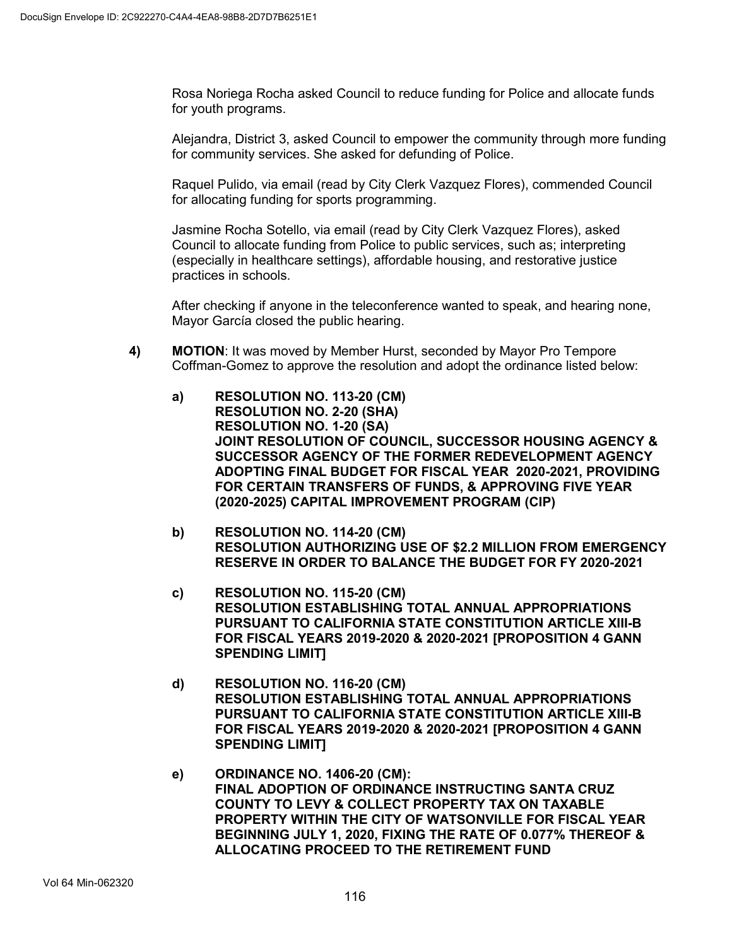Rosa Noriega Rocha asked Council to reduce funding for Police and allocate funds for youth programs.

Alejandra, District 3, asked Council to empower the community through more funding for community services. She asked for defunding of Police.

Raquel Pulido, via email (read by City Clerk Vazquez Flores), commended Council for allocating funding for sports programming.

Jasmine Rocha Sotello, via email (read by City Clerk Vazquez Flores), asked Council to allocate funding from Police to public services, such as; interpreting (especially in healthcare settings), affordable housing, and restorative justice practices in schools.

After checking if anyone in the teleconference wanted to speak, and hearing none, Mayor García closed the public hearing.

- **4) MOTION**: It was moved by Member Hurst, seconded by Mayor Pro Tempore Coffman-Gomez to approve the resolution and adopt the ordinance listed below:
	- **a) RESOLUTION NO. 113-20 (CM) RESOLUTION NO. 2-20 (SHA) RESOLUTION NO. 1-20 (SA) JOINT RESOLUTION OF COUNCIL, SUCCESSOR HOUSING AGENCY & SUCCESSOR AGENCY OF THE FORMER REDEVELOPMENT AGENCY ADOPTING FINAL BUDGET FOR FISCAL YEAR 2020-2021, PROVIDING FOR CERTAIN TRANSFERS OF FUNDS, & APPROVING FIVE YEAR (2020-2025) CAPITAL IMPROVEMENT PROGRAM (CIP)**
	- **b) RESOLUTION NO. 114-20 (CM) RESOLUTION AUTHORIZING USE OF \$2.2 MILLION FROM EMERGENCY RESERVE IN ORDER TO BALANCE THE BUDGET FOR FY 2020-2021**
	- **c) RESOLUTION NO. 115-20 (CM) RESOLUTION ESTABLISHING TOTAL ANNUAL APPROPRIATIONS PURSUANT TO CALIFORNIA STATE CONSTITUTION ARTICLE XIII-B FOR FISCAL YEARS 2019-2020 & 2020-2021 [PROPOSITION 4 GANN SPENDING LIMIT]**
	- **d) RESOLUTION NO. 116-20 (CM) RESOLUTION ESTABLISHING TOTAL ANNUAL APPROPRIATIONS PURSUANT TO CALIFORNIA STATE CONSTITUTION ARTICLE XIII-B FOR FISCAL YEARS 2019-2020 & 2020-2021 [PROPOSITION 4 GANN SPENDING LIMIT]**
	- **e) ORDINANCE NO. 1406-20 (CM): FINAL ADOPTION OF ORDINANCE INSTRUCTING SANTA CRUZ COUNTY TO LEVY & COLLECT PROPERTY TAX ON TAXABLE PROPERTY WITHIN THE CITY OF WATSONVILLE FOR FISCAL YEAR BEGINNING JULY 1, 2020, FIXING THE RATE OF 0.077% THEREOF & ALLOCATING PROCEED TO THE RETIREMENT FUND**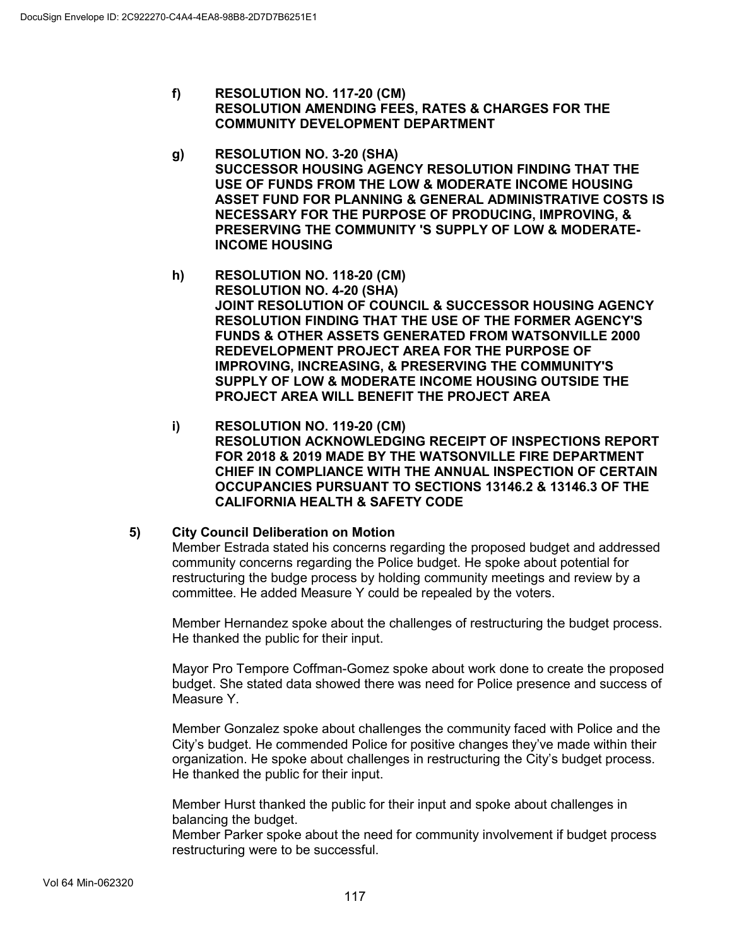- **f) RESOLUTION NO. 117-20 (CM) RESOLUTION AMENDING FEES, RATES & CHARGES FOR THE COMMUNITY DEVELOPMENT DEPARTMENT**
- **g) RESOLUTION NO. 3-20 (SHA) SUCCESSOR HOUSING AGENCY RESOLUTION FINDING THAT THE USE OF FUNDS FROM THE LOW & MODERATE INCOME HOUSING ASSET FUND FOR PLANNING & GENERAL ADMINISTRATIVE COSTS IS NECESSARY FOR THE PURPOSE OF PRODUCING, IMPROVING, & PRESERVING THE COMMUNITY 'S SUPPLY OF LOW & MODERATE-INCOME HOUSING**
- **h) RESOLUTION NO. 118-20 (CM) RESOLUTION NO. 4-20 (SHA) JOINT RESOLUTION OF COUNCIL & SUCCESSOR HOUSING AGENCY RESOLUTION FINDING THAT THE USE OF THE FORMER AGENCY'S FUNDS & OTHER ASSETS GENERATED FROM WATSONVILLE 2000 REDEVELOPMENT PROJECT AREA FOR THE PURPOSE OF IMPROVING, INCREASING, & PRESERVING THE COMMUNITY'S SUPPLY OF LOW & MODERATE INCOME HOUSING OUTSIDE THE PROJECT AREA WILL BENEFIT THE PROJECT AREA**
- **i) RESOLUTION NO. 119-20 (CM) RESOLUTION ACKNOWLEDGING RECEIPT OF INSPECTIONS REPORT FOR 2018 & 2019 MADE BY THE WATSONVILLE FIRE DEPARTMENT CHIEF IN COMPLIANCE WITH THE ANNUAL INSPECTION OF CERTAIN OCCUPANCIES PURSUANT TO SECTIONS 13146.2 & 13146.3 OF THE CALIFORNIA HEALTH & SAFETY CODE**

# **5) City Council Deliberation on Motion**

Member Estrada stated his concerns regarding the proposed budget and addressed community concerns regarding the Police budget. He spoke about potential for restructuring the budge process by holding community meetings and review by a committee. He added Measure Y could be repealed by the voters.

Member Hernandez spoke about the challenges of restructuring the budget process. He thanked the public for their input.

Mayor Pro Tempore Coffman-Gomez spoke about work done to create the proposed budget. She stated data showed there was need for Police presence and success of Measure Y.

Member Gonzalez spoke about challenges the community faced with Police and the City's budget. He commended Police for positive changes they've made within their organization. He spoke about challenges in restructuring the City's budget process. He thanked the public for their input.

Member Hurst thanked the public for their input and spoke about challenges in balancing the budget.

Member Parker spoke about the need for community involvement if budget process restructuring were to be successful.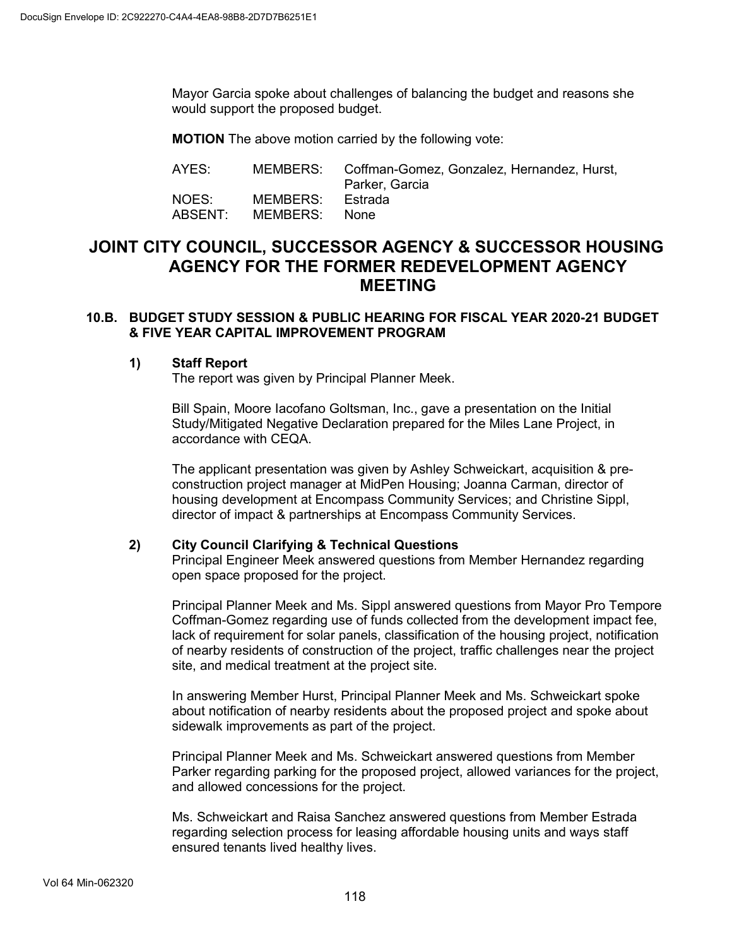Mayor Garcia spoke about challenges of balancing the budget and reasons she would support the proposed budget.

**MOTION** The above motion carried by the following vote:

| AYES:            |                                   | MEMBERS: Coffman-Gomez, Gonzalez, Hernandez, Hurst,<br>Parker, Garcia |
|------------------|-----------------------------------|-----------------------------------------------------------------------|
| NOES:<br>ABSENT: | MEMBERS: Estrada<br>MEMBERS: None |                                                                       |

# **JOINT CITY COUNCIL, SUCCESSOR AGENCY & SUCCESSOR HOUSING AGENCY FOR THE FORMER REDEVELOPMENT AGENCY MEETING**

## **10.B. BUDGET STUDY SESSION & PUBLIC HEARING FOR FISCAL YEAR 2020-21 BUDGET & FIVE YEAR CAPITAL IMPROVEMENT PROGRAM**

#### **1) Staff Report**

The report was given by Principal Planner Meek.

Bill Spain, Moore Iacofano Goltsman, Inc., gave a presentation on the Initial Study/Mitigated Negative Declaration prepared for the Miles Lane Project, in accordance with CEQA.

The applicant presentation was given by Ashley Schweickart, acquisition & preconstruction project manager at MidPen Housing; Joanna Carman, director of housing development at Encompass Community Services; and Christine Sippl, director of impact & partnerships at Encompass Community Services.

# **2) City Council Clarifying & Technical Questions**

Principal Engineer Meek answered questions from Member Hernandez regarding open space proposed for the project.

Principal Planner Meek and Ms. Sippl answered questions from Mayor Pro Tempore Coffman-Gomez regarding use of funds collected from the development impact fee, lack of requirement for solar panels, classification of the housing project, notification of nearby residents of construction of the project, traffic challenges near the project site, and medical treatment at the project site.

In answering Member Hurst, Principal Planner Meek and Ms. Schweickart spoke about notification of nearby residents about the proposed project and spoke about sidewalk improvements as part of the project.

Principal Planner Meek and Ms. Schweickart answered questions from Member Parker regarding parking for the proposed project, allowed variances for the project, and allowed concessions for the project.

Ms. Schweickart and Raisa Sanchez answered questions from Member Estrada regarding selection process for leasing affordable housing units and ways staff ensured tenants lived healthy lives.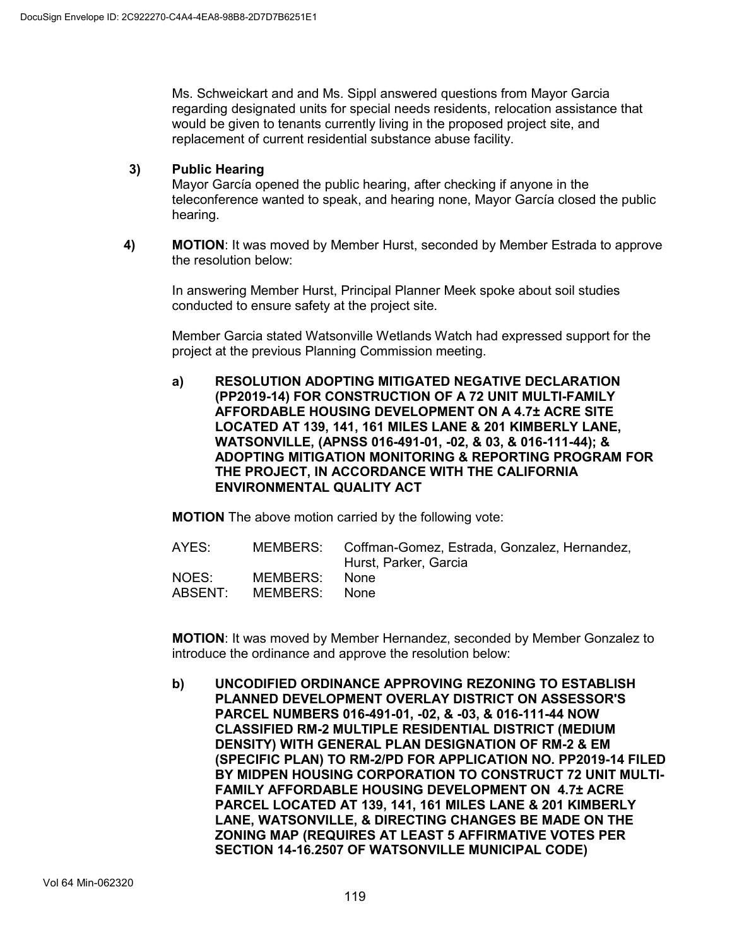Ms. Schweickart and and Ms. Sippl answered questions from Mayor Garcia regarding designated units for special needs residents, relocation assistance that would be given to tenants currently living in the proposed project site, and replacement of current residential substance abuse facility.

## **3) Public Hearing**

Mayor García opened the public hearing, after checking if anyone in the teleconference wanted to speak, and hearing none, Mayor García closed the public hearing.

**4) MOTION**: It was moved by Member Hurst, seconded by Member Estrada to approve the resolution below:

In answering Member Hurst, Principal Planner Meek spoke about soil studies conducted to ensure safety at the project site.

Member Garcia stated Watsonville Wetlands Watch had expressed support for the project at the previous Planning Commission meeting.

**a) RESOLUTION ADOPTING MITIGATED NEGATIVE DECLARATION (PP2019-14) FOR CONSTRUCTION OF A 72 UNIT MULTI-FAMILY AFFORDABLE HOUSING DEVELOPMENT ON A 4.7± ACRE SITE LOCATED AT 139, 141, 161 MILES LANE & 201 KIMBERLY LANE, WATSONVILLE, (APNSS 016-491-01, -02, & 03, & 016-111-44); & ADOPTING MITIGATION MONITORING & REPORTING PROGRAM FOR THE PROJECT, IN ACCORDANCE WITH THE CALIFORNIA ENVIRONMENTAL QUALITY ACT**

**MOTION** The above motion carried by the following vote:

| AYES:   |          | MEMBERS: Coffman-Gomez, Estrada, Gonzalez, Hernandez,<br>Hurst, Parker, Garcia |
|---------|----------|--------------------------------------------------------------------------------|
| NOES:   | MEMBERS: | None                                                                           |
| ABSENT: | MEMBERS: | None                                                                           |

**MOTION**: It was moved by Member Hernandez, seconded by Member Gonzalez to introduce the ordinance and approve the resolution below:

**b) UNCODIFIED ORDINANCE APPROVING REZONING TO ESTABLISH PLANNED DEVELOPMENT OVERLAY DISTRICT ON ASSESSOR'S PARCEL NUMBERS 016-491-01, -02, & -03, & 016-111-44 NOW CLASSIFIED RM-2 MULTIPLE RESIDENTIAL DISTRICT (MEDIUM DENSITY) WITH GENERAL PLAN DESIGNATION OF RM-2 & EM (SPECIFIC PLAN) TO RM-2/PD FOR APPLICATION NO. PP2019-14 FILED BY MIDPEN HOUSING CORPORATION TO CONSTRUCT 72 UNIT MULTI-FAMILY AFFORDABLE HOUSING DEVELOPMENT ON 4.7± ACRE PARCEL LOCATED AT 139, 141, 161 MILES LANE & 201 KIMBERLY LANE, WATSONVILLE, & DIRECTING CHANGES BE MADE ON THE ZONING MAP (REQUIRES AT LEAST 5 AFFIRMATIVE VOTES PER SECTION 14-16.2507 OF WATSONVILLE MUNICIPAL CODE)**